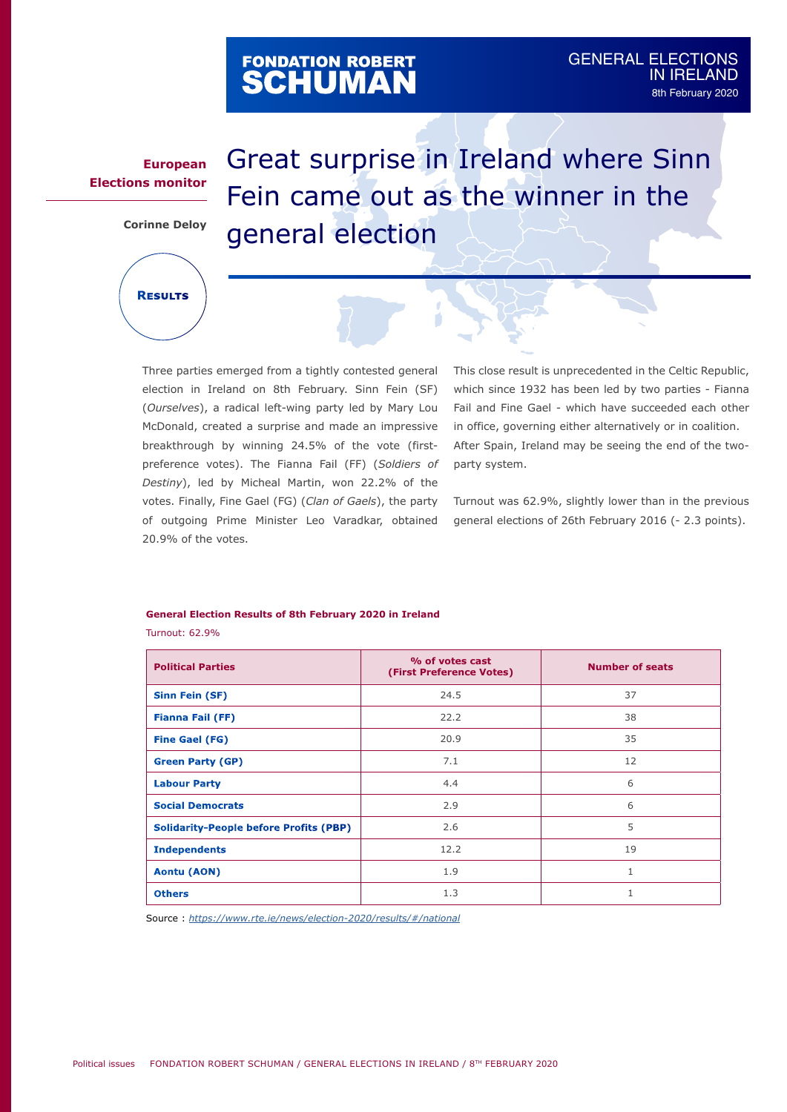## FONDATION ROBERT<br>**SCHUMAN**

## **European Elections monitor**

**Corinne Deloy**

**Results**

Great surprise in Ireland where Sinn Fein came out as the winner in the general election

Three parties emerged from a tightly contested general election in Ireland on 8th February. Sinn Fein (SF) (*Ourselves*), a radical left-wing party led by Mary Lou McDonald, created a surprise and made an impressive breakthrough by winning 24.5% of the vote (firstpreference votes). The Fianna Fail (FF) (*Soldiers of Destiny*), led by Micheal Martin, won 22.2% of the votes. Finally, Fine Gael (FG) (*Clan of Gaels*), the party of outgoing Prime Minister Leo Varadkar, obtained 20.9% of the votes.

This close result is unprecedented in the Celtic Republic, which since 1932 has been led by two parties - Fianna Fail and Fine Gael - which have succeeded each other in office, governing either alternatively or in coalition. After Spain, Ireland may be seeing the end of the twoparty system.

Turnout was 62.9%, slightly lower than in the previous general elections of 26th February 2016 (- 2.3 points).

## **General Election Results of 8th February 2020 in Ireland**

Turnout: 62.9%

| <b>Political Parties</b>                      | % of votes cast<br>(First Preference Votes) | <b>Number of seats</b> |
|-----------------------------------------------|---------------------------------------------|------------------------|
| Sinn Fein (SF)                                | 24.5                                        | 37                     |
| <b>Fianna Fail (FF)</b>                       | 22.2                                        | 38                     |
| <b>Fine Gael (FG)</b>                         | 20.9                                        | 35                     |
| <b>Green Party (GP)</b>                       | 7.1                                         | 12                     |
| <b>Labour Party</b>                           | 4.4                                         | 6                      |
| <b>Social Democrats</b>                       | 2.9                                         | 6                      |
| <b>Solidarity-People before Profits (PBP)</b> | 2.6                                         | 5                      |
| <b>Independents</b>                           | 12.2                                        | 19                     |
| Aontu (AON)                                   | 1.9                                         |                        |
| <b>Others</b>                                 | 1.3                                         |                        |

Source : *<https://www.rte.ie/news/election-2020/results/#/national>*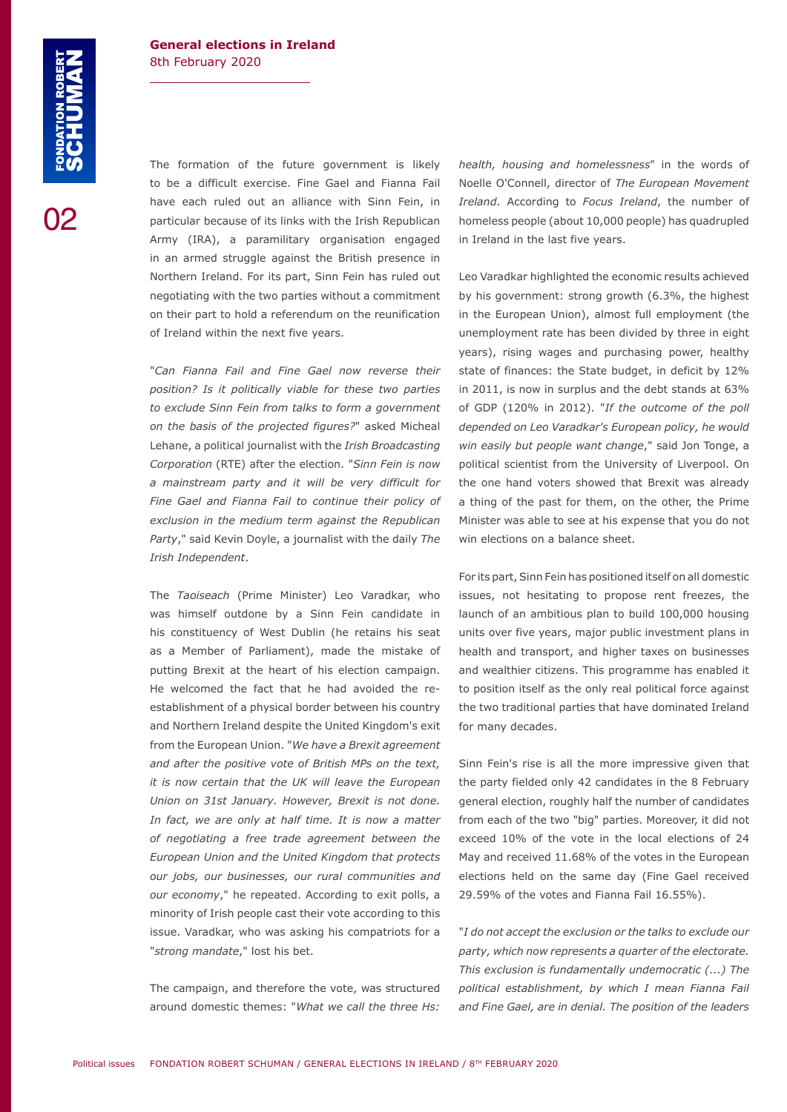02

The formation of the future government is likely to be a difficult exercise. Fine Gael and Fianna Fail have each ruled out an alliance with Sinn Fein, in particular because of its links with the Irish Republican Army (IRA), a paramilitary organisation engaged in an armed struggle against the British presence in Northern Ireland. For its part, Sinn Fein has ruled out negotiating with the two parties without a commitment on their part to hold a referendum on the reunification of Ireland within the next five years.

"*Can Fianna Fail and Fine Gael now reverse their position? Is it politically viable for these two parties to exclude Sinn Fein from talks to form a government on the basis of the projected figures?*" asked Micheal Lehane, a political journalist with the *Irish Broadcasting Corporation* (RTE) after the election. "*Sinn Fein is now a mainstream party and it will be very difficult for Fine Gael and Fianna Fail to continue their policy of exclusion in the medium term against the Republican Party*," said Kevin Doyle, a journalist with the daily *The Irish Independent*.

The *Taoiseach* (Prime Minister) Leo Varadkar, who was himself outdone by a Sinn Fein candidate in his constituency of West Dublin (he retains his seat as a Member of Parliament), made the mistake of putting Brexit at the heart of his election campaign. He welcomed the fact that he had avoided the reestablishment of a physical border between his country and Northern Ireland despite the United Kingdom's exit from the European Union. "*We have a Brexit agreement and after the positive vote of British MPs on the text, it is now certain that the UK will leave the European Union on 31st January. However, Brexit is not done. In fact, we are only at half time. It is now a matter of negotiating a free trade agreement between the European Union and the United Kingdom that protects our jobs, our businesses, our rural communities and our economy*," he repeated. According to exit polls, a minority of Irish people cast their vote according to this issue. Varadkar, who was asking his compatriots for a "*strong mandate*," lost his bet.

The campaign, and therefore the vote, was structured around domestic themes: "*What we call the three Hs:*  *health, housing and homelessness*" in the words of Noelle O'Connell, director of *The European Movement Ireland*. According to *Focus Ireland*, the number of homeless people (about 10,000 people) has quadrupled in Ireland in the last five years.

Leo Varadkar highlighted the economic results achieved by his government: strong growth (6.3%, the highest in the European Union), almost full employment (the unemployment rate has been divided by three in eight years), rising wages and purchasing power, healthy state of finances: the State budget, in deficit by 12% in 2011, is now in surplus and the debt stands at 63% of GDP (120% in 2012). "*If the outcome of the poll depended on Leo Varadkar's European policy, he would win easily but people want change*," said Jon Tonge, a political scientist from the University of Liverpool. On the one hand voters showed that Brexit was already a thing of the past for them, on the other, the Prime Minister was able to see at his expense that you do not win elections on a balance sheet.

For its part, Sinn Fein has positioned itself on all domestic issues, not hesitating to propose rent freezes, the launch of an ambitious plan to build 100,000 housing units over five years, major public investment plans in health and transport, and higher taxes on businesses and wealthier citizens. This programme has enabled it to position itself as the only real political force against the two traditional parties that have dominated Ireland for many decades.

Sinn Fein's rise is all the more impressive given that the party fielded only 42 candidates in the 8 February general election, roughly half the number of candidates from each of the two "big" parties. Moreover, it did not exceed 10% of the vote in the local elections of 24 May and received 11.68% of the votes in the European elections held on the same day (Fine Gael received 29.59% of the votes and Fianna Fail 16.55%).

"*I do not accept the exclusion or the talks to exclude our party, which now represents a quarter of the electorate. This exclusion is fundamentally undemocratic (...) The political establishment, by which I mean Fianna Fail and Fine Gael, are in denial. The position of the leaders*